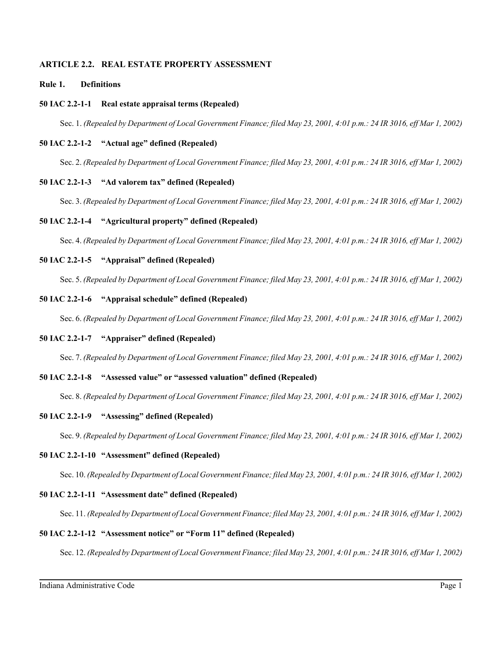## **ARTICLE 2.2. REAL ESTATE PROPERTY ASSESSMENT**

### **Rule 1. Definitions**

### **50 IAC 2.2-1-1 Real estate appraisal terms (Repealed)**

Sec. 1. *(Repealed by Department of Local Government Finance; filed May 23, 2001, 4:01 p.m.: 24 IR 3016, eff Mar 1, 2002)*

### **50 IAC 2.2-1-2 "Actual age" defined (Repealed)**

Sec. 2. *(Repealed by Department of Local Government Finance; filed May 23, 2001, 4:01 p.m.: 24 IR 3016, eff Mar 1, 2002)*

### **50 IAC 2.2-1-3 "Ad valorem tax" defined (Repealed)**

Sec. 3. *(Repealed by Department of Local Government Finance; filed May 23, 2001, 4:01 p.m.: 24 IR 3016, eff Mar 1, 2002)*

### **50 IAC 2.2-1-4 "Agricultural property" defined (Repealed)**

Sec. 4. *(Repealed by Department of Local Government Finance; filed May 23, 2001, 4:01 p.m.: 24 IR 3016, eff Mar 1, 2002)*

### **50 IAC 2.2-1-5 "Appraisal" defined (Repealed)**

Sec. 5. *(Repealed by Department of Local Government Finance; filed May 23, 2001, 4:01 p.m.: 24 IR 3016, eff Mar 1, 2002)*

### **50 IAC 2.2-1-6 "Appraisal schedule" defined (Repealed)**

Sec. 6. *(Repealed by Department of Local Government Finance; filed May 23, 2001, 4:01 p.m.: 24 IR 3016, eff Mar 1, 2002)*

# **50 IAC 2.2-1-7 "Appraiser" defined (Repealed)**

Sec. 7. *(Repealed by Department of Local Government Finance; filed May 23, 2001, 4:01 p.m.: 24 IR 3016, eff Mar 1, 2002)*

### **50 IAC 2.2-1-8 "Assessed value" or "assessed valuation" defined (Repealed)**

Sec. 8. *(Repealed by Department of Local Government Finance; filed May 23, 2001, 4:01 p.m.: 24 IR 3016, eff Mar 1, 2002)*

### **50 IAC 2.2-1-9 "Assessing" defined (Repealed)**

Sec. 9. *(Repealed by Department of Local Government Finance; filed May 23, 2001, 4:01 p.m.: 24 IR 3016, eff Mar 1, 2002)*

## **50 IAC 2.2-1-10 "Assessment" defined (Repealed)**

Sec. 10. *(Repealed by Department of Local Government Finance; filed May 23, 2001, 4:01 p.m.: 24 IR 3016, eff Mar 1, 2002)*

### **50 IAC 2.2-1-11 "Assessment date" defined (Repealed)**

Sec. 11. *(Repealed by Department of Local Government Finance; filed May 23, 2001, 4:01 p.m.: 24 IR 3016, eff Mar 1, 2002)*

## **50 IAC 2.2-1-12 "Assessment notice" or "Form 11" defined (Repealed)**

Sec. 12. *(Repealed by Department of Local Government Finance; filed May 23, 2001, 4:01 p.m.: 24 IR 3016, eff Mar 1, 2002)*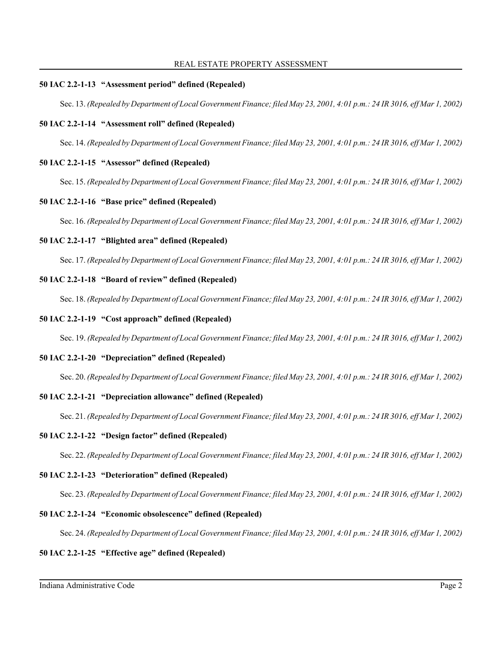#### REAL ESTATE PROPERTY ASSESSMENT

### **50 IAC 2.2-1-13 "Assessment period" defined (Repealed)**

Sec. 13. *(Repealed by Department of Local Government Finance; filed May 23, 2001, 4:01 p.m.: 24 IR 3016, eff Mar 1, 2002)*

## **50 IAC 2.2-1-14 "Assessment roll" defined (Repealed)**

Sec. 14. *(Repealed by Department of Local Government Finance; filed May 23, 2001, 4:01 p.m.: 24 IR 3016, eff Mar 1, 2002)*

## **50 IAC 2.2-1-15 "Assessor" defined (Repealed)**

Sec. 15. *(Repealed by Department of Local Government Finance; filed May 23, 2001, 4:01 p.m.: 24 IR 3016, eff Mar 1, 2002)*

## **50 IAC 2.2-1-16 "Base price" defined (Repealed)**

Sec. 16. *(Repealed by Department of Local Government Finance; filed May 23, 2001, 4:01 p.m.: 24 IR 3016, eff Mar 1, 2002)*

## **50 IAC 2.2-1-17 "Blighted area" defined (Repealed)**

Sec. 17. *(Repealed by Department of Local Government Finance; filed May 23, 2001, 4:01 p.m.: 24 IR 3016, eff Mar 1, 2002)*

## **50 IAC 2.2-1-18 "Board of review" defined (Repealed)**

Sec. 18. *(Repealed by Department of Local Government Finance; filed May 23, 2001, 4:01 p.m.: 24 IR 3016, eff Mar 1, 2002)*

## **50 IAC 2.2-1-19 "Cost approach" defined (Repealed)**

Sec. 19. *(Repealed by Department of Local Government Finance; filed May 23, 2001, 4:01 p.m.: 24 IR 3016, eff Mar 1, 2002)*

### **50 IAC 2.2-1-20 "Depreciation" defined (Repealed)**

Sec. 20. *(Repealed by Department of Local Government Finance; filed May 23, 2001, 4:01 p.m.: 24 IR 3016, eff Mar 1, 2002)*

# **50 IAC 2.2-1-21 "Depreciation allowance" defined (Repealed)**

Sec. 21. *(Repealed by Department of Local Government Finance; filed May 23, 2001, 4:01 p.m.: 24 IR 3016, eff Mar 1, 2002)*

### **50 IAC 2.2-1-22 "Design factor" defined (Repealed)**

Sec. 22. *(Repealed by Department of Local Government Finance; filed May 23, 2001, 4:01 p.m.: 24 IR 3016, eff Mar 1, 2002)*

### **50 IAC 2.2-1-23 "Deterioration" defined (Repealed)**

Sec. 23. *(Repealed by Department of Local Government Finance; filed May 23, 2001, 4:01 p.m.: 24 IR 3016, eff Mar 1, 2002)*

# **50 IAC 2.2-1-24 "Economic obsolescence" defined (Repealed)**

Sec. 24. *(Repealed by Department of Local Government Finance; filed May 23, 2001, 4:01 p.m.: 24 IR 3016, eff Mar 1, 2002)*

### **50 IAC 2.2-1-25 "Effective age" defined (Repealed)**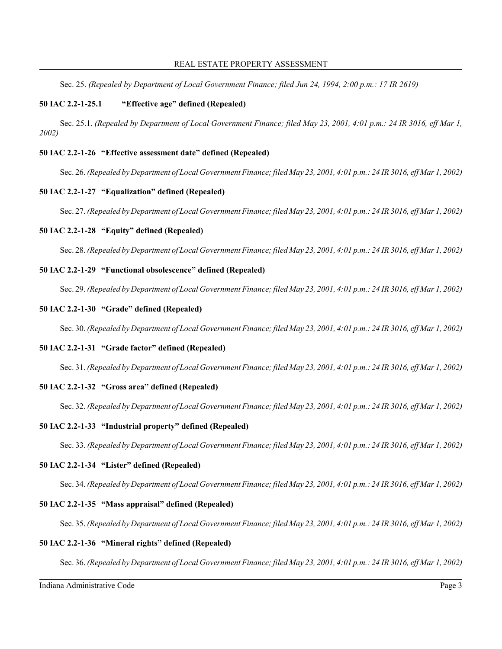Sec. 25. *(Repealed by Department of Local Government Finance; filed Jun 24, 1994, 2:00 p.m.: 17 IR 2619)*

## **50 IAC 2.2-1-25.1 "Effective age" defined (Repealed)**

Sec. 25.1. *(Repealed by Department of Local Government Finance; filed May 23, 2001, 4:01 p.m.: 24 IR 3016, eff Mar 1, 2002)*

### **50 IAC 2.2-1-26 "Effective assessment date" defined (Repealed)**

Sec. 26. *(Repealed by Department of Local Government Finance; filed May 23, 2001, 4:01 p.m.: 24 IR 3016, eff Mar 1, 2002)*

### **50 IAC 2.2-1-27 "Equalization" defined (Repealed)**

Sec. 27. *(Repealed by Department of Local Government Finance; filed May 23, 2001, 4:01 p.m.: 24 IR 3016, eff Mar 1, 2002)*

### **50 IAC 2.2-1-28 "Equity" defined (Repealed)**

Sec. 28. *(Repealed by Department of Local Government Finance; filed May 23, 2001, 4:01 p.m.: 24 IR 3016, eff Mar 1, 2002)*

# **50 IAC 2.2-1-29 "Functional obsolescence" defined (Repealed)**

Sec. 29. *(Repealed by Department of Local Government Finance; filed May 23, 2001, 4:01 p.m.: 24 IR 3016, eff Mar 1, 2002)*

### **50 IAC 2.2-1-30 "Grade" defined (Repealed)**

Sec. 30. *(Repealed by Department of Local Government Finance; filed May 23, 2001, 4:01 p.m.: 24 IR 3016, eff Mar 1, 2002)*

## **50 IAC 2.2-1-31 "Grade factor" defined (Repealed)**

Sec. 31. *(Repealed by Department of Local Government Finance; filed May 23, 2001, 4:01 p.m.: 24 IR 3016, eff Mar 1, 2002)*

### **50 IAC 2.2-1-32 "Gross area" defined (Repealed)**

Sec. 32. *(Repealed by Department of Local Government Finance; filed May 23, 2001, 4:01 p.m.: 24 IR 3016, eff Mar 1, 2002)*

### **50 IAC 2.2-1-33 "Industrial property" defined (Repealed)**

Sec. 33. *(Repealed by Department of Local Government Finance; filed May 23, 2001, 4:01 p.m.: 24 IR 3016, eff Mar 1, 2002)*

#### **50 IAC 2.2-1-34 "Lister" defined (Repealed)**

Sec. 34. *(Repealed by Department of Local Government Finance; filed May 23, 2001, 4:01 p.m.: 24 IR 3016, eff Mar 1, 2002)*

### **50 IAC 2.2-1-35 "Mass appraisal" defined (Repealed)**

Sec. 35. *(Repealed by Department of Local Government Finance; filed May 23, 2001, 4:01 p.m.: 24 IR 3016, eff Mar 1, 2002)*

#### **50 IAC 2.2-1-36 "Mineral rights" defined (Repealed)**

Sec. 36. *(Repealed by Department of Local Government Finance; filed May 23, 2001, 4:01 p.m.: 24 IR 3016, eff Mar 1, 2002)*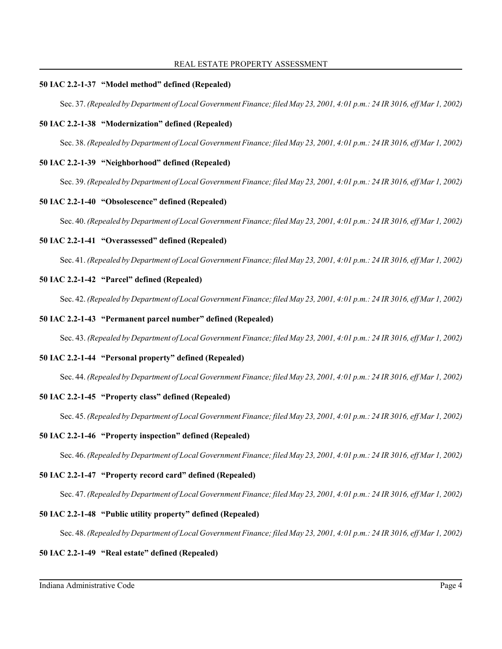## **50 IAC 2.2-1-37 "Model method" defined (Repealed)**

Sec. 37. *(Repealed by Department of Local Government Finance; filed May 23, 2001, 4:01 p.m.: 24 IR 3016, eff Mar 1, 2002)*

# **50 IAC 2.2-1-38 "Modernization" defined (Repealed)**

Sec. 38. *(Repealed by Department of Local Government Finance; filed May 23, 2001, 4:01 p.m.: 24 IR 3016, eff Mar 1, 2002)*

## **50 IAC 2.2-1-39 "Neighborhood" defined (Repealed)**

Sec. 39. *(Repealed by Department of Local Government Finance; filed May 23, 2001, 4:01 p.m.: 24 IR 3016, eff Mar 1, 2002)*

## **50 IAC 2.2-1-40 "Obsolescence" defined (Repealed)**

Sec. 40. *(Repealed by Department of Local Government Finance; filed May 23, 2001, 4:01 p.m.: 24 IR 3016, eff Mar 1, 2002)*

## **50 IAC 2.2-1-41 "Overassessed" defined (Repealed)**

Sec. 41. *(Repealed by Department of Local Government Finance; filed May 23, 2001, 4:01 p.m.: 24 IR 3016, eff Mar 1, 2002)*

## **50 IAC 2.2-1-42 "Parcel" defined (Repealed)**

Sec. 42. *(Repealed by Department of Local Government Finance; filed May 23, 2001, 4:01 p.m.: 24 IR 3016, eff Mar 1, 2002)*

## **50 IAC 2.2-1-43 "Permanent parcel number" defined (Repealed)**

Sec. 43. *(Repealed by Department of Local Government Finance; filed May 23, 2001, 4:01 p.m.: 24 IR 3016, eff Mar 1, 2002)*

# **50 IAC 2.2-1-44 "Personal property" defined (Repealed)**

Sec. 44. *(Repealed by Department of Local Government Finance; filed May 23, 2001, 4:01 p.m.: 24 IR 3016, eff Mar 1, 2002)*

### **50 IAC 2.2-1-45 "Property class" defined (Repealed)**

Sec. 45. *(Repealed by Department of Local Government Finance; filed May 23, 2001, 4:01 p.m.: 24 IR 3016, eff Mar 1, 2002)*

### **50 IAC 2.2-1-46 "Property inspection" defined (Repealed)**

Sec. 46. *(Repealed by Department of Local Government Finance; filed May 23, 2001, 4:01 p.m.: 24 IR 3016, eff Mar 1, 2002)*

### **50 IAC 2.2-1-47 "Property record card" defined (Repealed)**

Sec. 47. *(Repealed by Department of Local Government Finance; filed May 23, 2001, 4:01 p.m.: 24 IR 3016, eff Mar 1, 2002)*

# **50 IAC 2.2-1-48 "Public utility property" defined (Repealed)**

Sec. 48. *(Repealed by Department of Local Government Finance; filed May 23, 2001, 4:01 p.m.: 24 IR 3016, eff Mar 1, 2002)*

## **50 IAC 2.2-1-49 "Real estate" defined (Repealed)**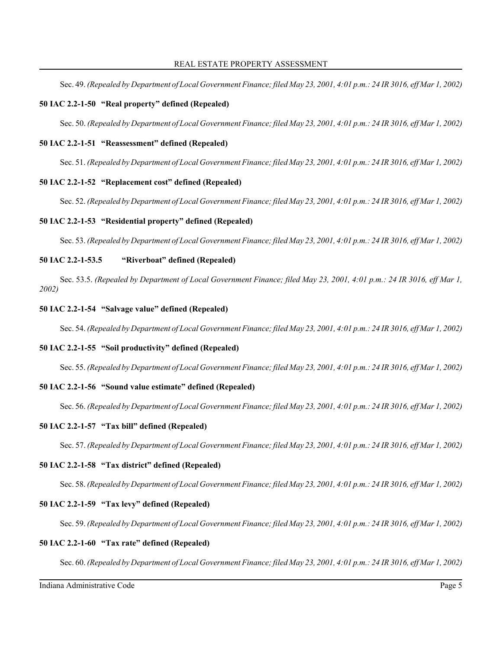Sec. 49. *(Repealed by Department of Local Government Finance; filed May 23, 2001, 4:01 p.m.: 24 IR 3016, eff Mar 1, 2002)*

### **50 IAC 2.2-1-50 "Real property" defined (Repealed)**

Sec. 50. *(Repealed by Department of Local Government Finance; filed May 23, 2001, 4:01 p.m.: 24 IR 3016, eff Mar 1, 2002)*

#### **50 IAC 2.2-1-51 "Reassessment" defined (Repealed)**

Sec. 51. *(Repealed by Department of Local Government Finance; filed May 23, 2001, 4:01 p.m.: 24 IR 3016, eff Mar 1, 2002)*

### **50 IAC 2.2-1-52 "Replacement cost" defined (Repealed)**

Sec. 52. *(Repealed by Department of Local Government Finance; filed May 23, 2001, 4:01 p.m.: 24 IR 3016, eff Mar 1, 2002)*

### **50 IAC 2.2-1-53 "Residential property" defined (Repealed)**

Sec. 53. *(Repealed by Department of Local Government Finance; filed May 23, 2001, 4:01 p.m.: 24 IR 3016, eff Mar 1, 2002)*

### **50 IAC 2.2-1-53.5 "Riverboat" defined (Repealed)**

Sec. 53.5. *(Repealed by Department of Local Government Finance; filed May 23, 2001, 4:01 p.m.: 24 IR 3016, eff Mar 1, 2002)*

### **50 IAC 2.2-1-54 "Salvage value" defined (Repealed)**

Sec. 54. *(Repealed by Department of Local Government Finance; filed May 23, 2001, 4:01 p.m.: 24 IR 3016, eff Mar 1, 2002)*

## **50 IAC 2.2-1-55 "Soil productivity" defined (Repealed)**

Sec. 55. *(Repealed by Department of Local Government Finance; filed May 23, 2001, 4:01 p.m.: 24 IR 3016, eff Mar 1, 2002)*

### **50 IAC 2.2-1-56 "Sound value estimate" defined (Repealed)**

Sec. 56. *(Repealed by Department of Local Government Finance; filed May 23, 2001, 4:01 p.m.: 24 IR 3016, eff Mar 1, 2002)*

#### **50 IAC 2.2-1-57 "Tax bill" defined (Repealed)**

Sec. 57. *(Repealed by Department of Local Government Finance; filed May 23, 2001, 4:01 p.m.: 24 IR 3016, eff Mar 1, 2002)*

#### **50 IAC 2.2-1-58 "Tax district" defined (Repealed)**

Sec. 58. *(Repealed by Department of Local Government Finance; filed May 23, 2001, 4:01 p.m.: 24 IR 3016, eff Mar 1, 2002)*

## **50 IAC 2.2-1-59 "Tax levy" defined (Repealed)**

Sec. 59. *(Repealed by Department of Local Government Finance; filed May 23, 2001, 4:01 p.m.: 24 IR 3016, eff Mar 1, 2002)*

#### **50 IAC 2.2-1-60 "Tax rate" defined (Repealed)**

Sec. 60. *(Repealed by Department of Local Government Finance; filed May 23, 2001, 4:01 p.m.: 24 IR 3016, eff Mar 1, 2002)*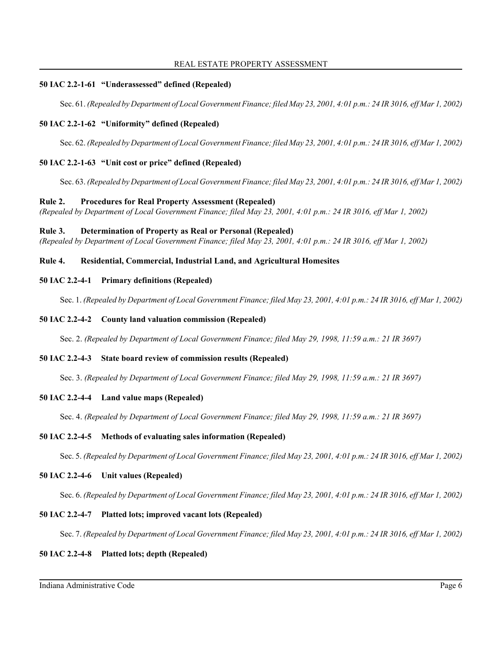#### REAL ESTATE PROPERTY ASSESSMENT

### **50 IAC 2.2-1-61 "Underassessed" defined (Repealed)**

Sec. 61. *(Repealed by Department of Local Government Finance; filed May 23, 2001, 4:01 p.m.: 24 IR 3016, eff Mar 1, 2002)*

### **50 IAC 2.2-1-62 "Uniformity" defined (Repealed)**

Sec. 62. *(Repealed by Department of Local Government Finance; filed May 23, 2001, 4:01 p.m.: 24 IR 3016, eff Mar 1, 2002)*

## **50 IAC 2.2-1-63 "Unit cost or price" defined (Repealed)**

Sec. 63. *(Repealed by Department of Local Government Finance; filed May 23, 2001, 4:01 p.m.: 24 IR 3016, eff Mar 1, 2002)*

### **Rule 2. Procedures for Real Property Assessment (Repealed)**

*(Repealed by Department of Local Government Finance; filed May 23, 2001, 4:01 p.m.: 24 IR 3016, eff Mar 1, 2002)*

### **Rule 3. Determination of Property as Real or Personal (Repealed)**

*(Repealed by Department of Local Government Finance; filed May 23, 2001, 4:01 p.m.: 24 IR 3016, eff Mar 1, 2002)*

## **Rule 4. Residential, Commercial, Industrial Land, and Agricultural Homesites**

### **50 IAC 2.2-4-1 Primary definitions (Repealed)**

Sec. 1. *(Repealed by Department of Local Government Finance; filed May 23, 2001, 4:01 p.m.: 24 IR 3016, eff Mar 1, 2002)*

### **50 IAC 2.2-4-2 County land valuation commission (Repealed)**

Sec. 2. *(Repealed by Department of Local Government Finance; filed May 29, 1998, 11:59 a.m.: 21 IR 3697)*

### **50 IAC 2.2-4-3 State board review of commission results (Repealed)**

Sec. 3. *(Repealed by Department of Local Government Finance; filed May 29, 1998, 11:59 a.m.: 21 IR 3697)*

### **50 IAC 2.2-4-4 Land value maps (Repealed)**

Sec. 4. *(Repealed by Department of Local Government Finance; filed May 29, 1998, 11:59 a.m.: 21 IR 3697)*

### **50 IAC 2.2-4-5 Methods of evaluating sales information (Repealed)**

Sec. 5. *(Repealed by Department of Local Government Finance; filed May 23, 2001, 4:01 p.m.: 24 IR 3016, eff Mar 1, 2002)*

### **50 IAC 2.2-4-6 Unit values (Repealed)**

Sec. 6. *(Repealed by Department of Local Government Finance; filed May 23, 2001, 4:01 p.m.: 24 IR 3016, eff Mar 1, 2002)*

### **50 IAC 2.2-4-7 Platted lots; improved vacant lots (Repealed)**

Sec. 7. *(Repealed by Department of Local Government Finance; filed May 23, 2001, 4:01 p.m.: 24 IR 3016, eff Mar 1, 2002)*

### **50 IAC 2.2-4-8 Platted lots; depth (Repealed)**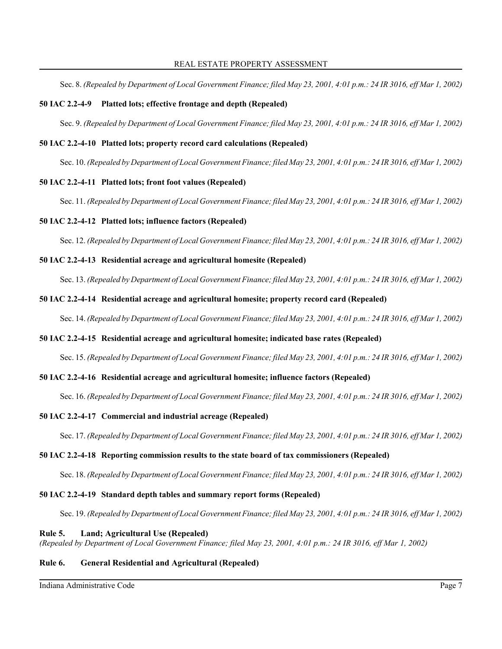Sec. 8. *(Repealed by Department of Local Government Finance; filed May 23, 2001, 4:01 p.m.: 24 IR 3016, eff Mar 1, 2002)*

### **50 IAC 2.2-4-9 Platted lots; effective frontage and depth (Repealed)**

Sec. 9. *(Repealed by Department of Local Government Finance; filed May 23, 2001, 4:01 p.m.: 24 IR 3016, eff Mar 1, 2002)*

#### **50 IAC 2.2-4-10 Platted lots; property record card calculations (Repealed)**

Sec. 10. *(Repealed by Department of Local Government Finance; filed May 23, 2001, 4:01 p.m.: 24 IR 3016, eff Mar 1, 2002)*

#### **50 IAC 2.2-4-11 Platted lots; front foot values (Repealed)**

Sec. 11. *(Repealed by Department of Local Government Finance; filed May 23, 2001, 4:01 p.m.: 24 IR 3016, eff Mar 1, 2002)*

### **50 IAC 2.2-4-12 Platted lots; influence factors (Repealed)**

Sec. 12. *(Repealed by Department of Local Government Finance; filed May 23, 2001, 4:01 p.m.: 24 IR 3016, eff Mar 1, 2002)*

#### **50 IAC 2.2-4-13 Residential acreage and agricultural homesite (Repealed)**

Sec. 13. *(Repealed by Department of Local Government Finance; filed May 23, 2001, 4:01 p.m.: 24 IR 3016, eff Mar 1, 2002)*

#### **50 IAC 2.2-4-14 Residential acreage and agricultural homesite; property record card (Repealed)**

Sec. 14. *(Repealed by Department of Local Government Finance; filed May 23, 2001, 4:01 p.m.: 24 IR 3016, eff Mar 1, 2002)*

### **50 IAC 2.2-4-15 Residential acreage and agricultural homesite; indicated base rates (Repealed)**

Sec. 15. *(Repealed by Department of Local Government Finance; filed May 23, 2001, 4:01 p.m.: 24 IR 3016, eff Mar 1, 2002)*

#### **50 IAC 2.2-4-16 Residential acreage and agricultural homesite; influence factors (Repealed)**

Sec. 16. *(Repealed by Department of Local Government Finance; filed May 23, 2001, 4:01 p.m.: 24 IR 3016, eff Mar 1, 2002)*

#### **50 IAC 2.2-4-17 Commercial and industrial acreage (Repealed)**

Sec. 17. *(Repealed by Department of Local Government Finance; filed May 23, 2001, 4:01 p.m.: 24 IR 3016, eff Mar 1, 2002)*

## **50 IAC 2.2-4-18 Reporting commission results to the state board of tax commissioners (Repealed)**

Sec. 18. *(Repealed by Department of Local Government Finance; filed May 23, 2001, 4:01 p.m.: 24 IR 3016, eff Mar 1, 2002)*

#### **50 IAC 2.2-4-19 Standard depth tables and summary report forms (Repealed)**

Sec. 19. *(Repealed by Department of Local Government Finance; filed May 23, 2001, 4:01 p.m.: 24 IR 3016, eff Mar 1, 2002)*

#### **Rule 5. Land; Agricultural Use (Repealed)**

*(Repealed by Department of Local Government Finance; filed May 23, 2001, 4:01 p.m.: 24 IR 3016, eff Mar 1, 2002)*

## **Rule 6. General Residential and Agricultural (Repealed)**

Indiana Administrative Code Page 7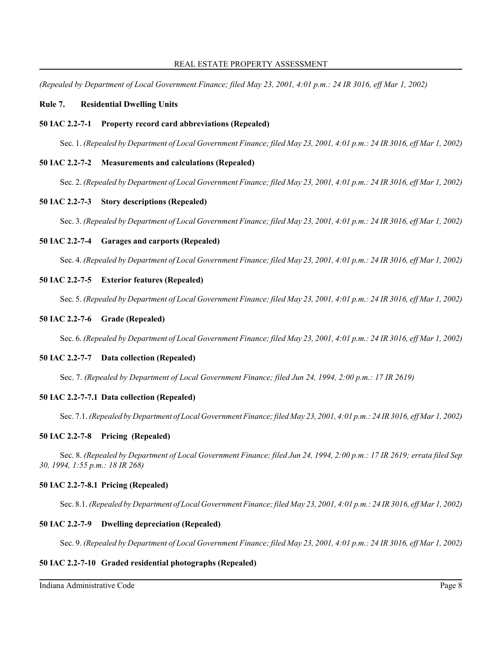*(Repealed by Department of Local Government Finance; filed May 23, 2001, 4:01 p.m.: 24 IR 3016, eff Mar 1, 2002)*

## **Rule 7. Residential Dwelling Units**

## **50 IAC 2.2-7-1 Property record card abbreviations (Repealed)**

Sec. 1. *(Repealed by Department of Local Government Finance; filed May 23, 2001, 4:01 p.m.: 24 IR 3016, eff Mar 1, 2002)*

## **50 IAC 2.2-7-2 Measurements and calculations (Repealed)**

Sec. 2. *(Repealed by Department of Local Government Finance; filed May 23, 2001, 4:01 p.m.: 24 IR 3016, eff Mar 1, 2002)*

## **50 IAC 2.2-7-3 Story descriptions (Repealed)**

Sec. 3. *(Repealed by Department of Local Government Finance; filed May 23, 2001, 4:01 p.m.: 24 IR 3016, eff Mar 1, 2002)*

## **50 IAC 2.2-7-4 Garages and carports (Repealed)**

Sec. 4. *(Repealed by Department of Local Government Finance; filed May 23, 2001, 4:01 p.m.: 24 IR 3016, eff Mar 1, 2002)*

## **50 IAC 2.2-7-5 Exterior features (Repealed)**

Sec. 5. *(Repealed by Department of Local Government Finance; filed May 23, 2001, 4:01 p.m.: 24 IR 3016, eff Mar 1, 2002)*

### **50 IAC 2.2-7-6 Grade (Repealed)**

Sec. 6. *(Repealed by Department of Local Government Finance; filed May 23, 2001, 4:01 p.m.: 24 IR 3016, eff Mar 1, 2002)*

### **50 IAC 2.2-7-7 Data collection (Repealed)**

Sec. 7. *(Repealed by Department of Local Government Finance; filed Jun 24, 1994, 2:00 p.m.: 17 IR 2619)*

### **50 IAC 2.2-7-7.1 Data collection (Repealed)**

Sec. 7.1. *(Repealed by Department of Local Government Finance; filed May 23, 2001, 4:01 p.m.: 24 IR 3016, eff Mar 1, 2002)*

### **50 IAC 2.2-7-8 Pricing (Repealed)**

Sec. 8. *(Repealed by Department of Local Government Finance; filed Jun 24, 1994, 2:00 p.m.: 17 IR 2619; errata filed Sep 30, 1994, 1:55 p.m.: 18 IR 268)*

### **50 IAC 2.2-7-8.1 Pricing (Repealed)**

Sec. 8.1. *(Repealed by Department of Local Government Finance; filed May 23, 2001, 4:01 p.m.: 24 IR 3016, eff Mar 1, 2002)*

### **50 IAC 2.2-7-9 Dwelling depreciation (Repealed)**

Sec. 9. *(Repealed by Department of Local Government Finance; filed May 23, 2001, 4:01 p.m.: 24 IR 3016, eff Mar 1, 2002)*

# **50 IAC 2.2-7-10 Graded residential photographs (Repealed)**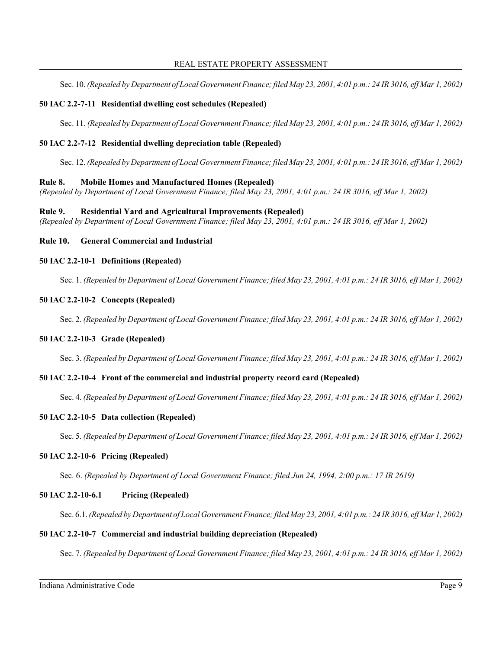#### REAL ESTATE PROPERTY ASSESSMENT

Sec. 10. *(Repealed by Department of Local Government Finance; filed May 23, 2001, 4:01 p.m.: 24 IR 3016, eff Mar 1, 2002)*

### **50 IAC 2.2-7-11 Residential dwelling cost schedules (Repealed)**

Sec. 11. *(Repealed by Department of Local Government Finance; filed May 23, 2001, 4:01 p.m.: 24 IR 3016, eff Mar 1, 2002)*

## **50 IAC 2.2-7-12 Residential dwelling depreciation table (Repealed)**

Sec. 12. *(Repealed by Department of Local Government Finance; filed May 23, 2001, 4:01 p.m.: 24 IR 3016, eff Mar 1, 2002)*

## **Rule 8. Mobile Homes and Manufactured Homes (Repealed)**

*(Repealed by Department of Local Government Finance; filed May 23, 2001, 4:01 p.m.: 24 IR 3016, eff Mar 1, 2002)*

### **Rule 9. Residential Yard and Agricultural Improvements (Repealed)**

*(Repealed by Department of Local Government Finance; filed May 23, 2001, 4:01 p.m.: 24 IR 3016, eff Mar 1, 2002)*

**Rule 10. General Commercial and Industrial**

## **50 IAC 2.2-10-1 Definitions (Repealed)**

Sec. 1. *(Repealed by Department of Local Government Finance; filed May 23, 2001, 4:01 p.m.: 24 IR 3016, eff Mar 1, 2002)*

## **50 IAC 2.2-10-2 Concepts (Repealed)**

Sec. 2. *(Repealed by Department of Local Government Finance; filed May 23, 2001, 4:01 p.m.: 24 IR 3016, eff Mar 1, 2002)*

### **50 IAC 2.2-10-3 Grade (Repealed)**

Sec. 3. *(Repealed by Department of Local Government Finance; filed May 23, 2001, 4:01 p.m.: 24 IR 3016, eff Mar 1, 2002)*

# **50 IAC 2.2-10-4 Front of the commercial and industrial property record card (Repealed)**

Sec. 4. *(Repealed by Department of Local Government Finance; filed May 23, 2001, 4:01 p.m.: 24 IR 3016, eff Mar 1, 2002)*

### **50 IAC 2.2-10-5 Data collection (Repealed)**

Sec. 5. *(Repealed by Department of Local Government Finance; filed May 23, 2001, 4:01 p.m.: 24 IR 3016, eff Mar 1, 2002)*

### **50 IAC 2.2-10-6 Pricing (Repealed)**

Sec. 6. *(Repealed by Department of Local Government Finance; filed Jun 24, 1994, 2:00 p.m.: 17 IR 2619)*

### **50 IAC 2.2-10-6.1 Pricing (Repealed)**

Sec. 6.1. *(Repealed by Department of Local Government Finance; filed May 23, 2001, 4:01 p.m.: 24 IR 3016, eff Mar 1, 2002)*

### **50 IAC 2.2-10-7 Commercial and industrial building depreciation (Repealed)**

Sec. 7. *(Repealed by Department of Local Government Finance; filed May 23, 2001, 4:01 p.m.: 24 IR 3016, eff Mar 1, 2002)*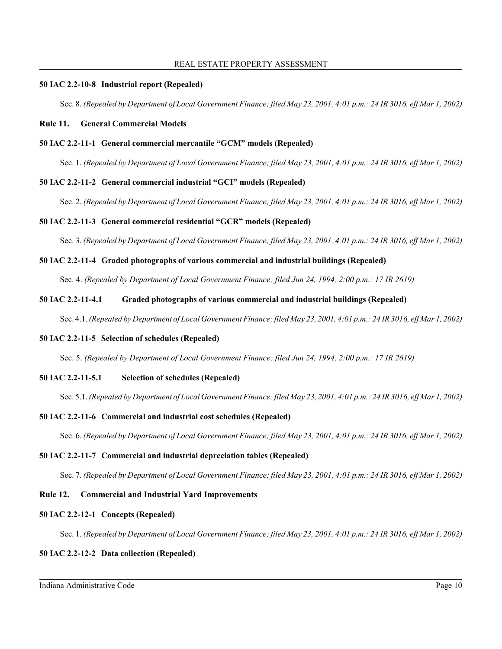#### **50 IAC 2.2-10-8 Industrial report (Repealed)**

Sec. 8. *(Repealed by Department of Local Government Finance; filed May 23, 2001, 4:01 p.m.: 24 IR 3016, eff Mar 1, 2002)*

### **Rule 11. General Commercial Models**

#### **50 IAC 2.2-11-1 General commercial mercantile "GCM" models (Repealed)**

Sec. 1. *(Repealed by Department of Local Government Finance; filed May 23, 2001, 4:01 p.m.: 24 IR 3016, eff Mar 1, 2002)*

### **50 IAC 2.2-11-2 General commercial industrial "GCI" models (Repealed)**

Sec. 2. *(Repealed by Department of Local Government Finance; filed May 23, 2001, 4:01 p.m.: 24 IR 3016, eff Mar 1, 2002)*

### **50 IAC 2.2-11-3 General commercial residential "GCR" models (Repealed)**

Sec. 3. *(Repealed by Department of Local Government Finance; filed May 23, 2001, 4:01 p.m.: 24 IR 3016, eff Mar 1, 2002)*

### **50 IAC 2.2-11-4 Graded photographs of various commercial and industrial buildings (Repealed)**

Sec. 4. *(Repealed by Department of Local Government Finance; filed Jun 24, 1994, 2:00 p.m.: 17 IR 2619)*

### **50 IAC 2.2-11-4.1 Graded photographs of various commercial and industrial buildings (Repealed)**

Sec. 4.1. *(Repealed by Department of Local Government Finance; filed May 23, 2001, 4:01 p.m.: 24 IR 3016, eff Mar 1, 2002)*

## **50 IAC 2.2-11-5 Selection of schedules (Repealed)**

Sec. 5. *(Repealed by Department of Local Government Finance; filed Jun 24, 1994, 2:00 p.m.: 17 IR 2619)*

### **50 IAC 2.2-11-5.1 Selection of schedules (Repealed)**

Sec. 5.1. *(Repealed by Department of Local Government Finance; filed May 23, 2001, 4:01 p.m.: 24 IR 3016, eff Mar 1, 2002)*

### **50 IAC 2.2-11-6 Commercial and industrial cost schedules (Repealed)**

Sec. 6. *(Repealed by Department of Local Government Finance; filed May 23, 2001, 4:01 p.m.: 24 IR 3016, eff Mar 1, 2002)*

## **50 IAC 2.2-11-7 Commercial and industrial depreciation tables (Repealed)**

Sec. 7. *(Repealed by Department of Local Government Finance; filed May 23, 2001, 4:01 p.m.: 24 IR 3016, eff Mar 1, 2002)*

## **Rule 12. Commercial and Industrial Yard Improvements**

#### **50 IAC 2.2-12-1 Concepts (Repealed)**

Sec. 1. *(Repealed by Department of Local Government Finance; filed May 23, 2001, 4:01 p.m.: 24 IR 3016, eff Mar 1, 2002)*

## **50 IAC 2.2-12-2 Data collection (Repealed)**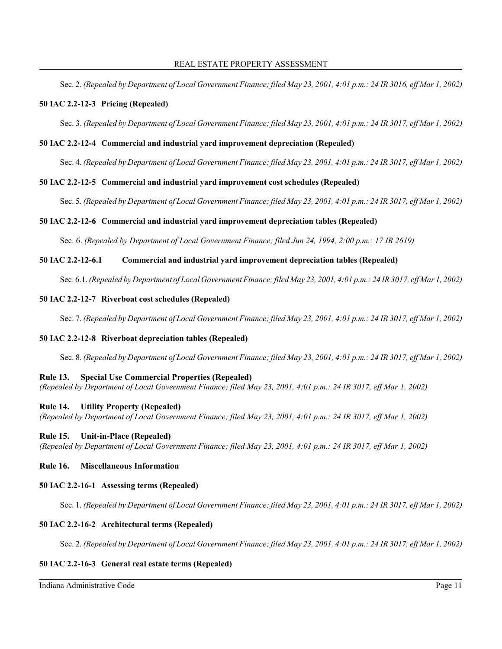Sec. 2. *(Repealed by Department of Local Government Finance; filed May 23, 2001, 4:01 p.m.: 24 IR 3016, eff Mar 1, 2002)*

### **50 IAC 2.2-12-3 Pricing (Repealed)**

Sec. 3. *(Repealed by Department of Local Government Finance; filed May 23, 2001, 4:01 p.m.: 24 IR 3017, eff Mar 1, 2002)*

### **50 IAC 2.2-12-4 Commercial and industrial yard improvement depreciation (Repealed)**

Sec. 4. *(Repealed by Department of Local Government Finance; filed May 23, 2001, 4:01 p.m.: 24 IR 3017, eff Mar 1, 2002)*

### **50 IAC 2.2-12-5 Commercial and industrial yard improvement cost schedules (Repealed)**

Sec. 5. *(Repealed by Department of Local Government Finance; filed May 23, 2001, 4:01 p.m.: 24 IR 3017, eff Mar 1, 2002)*

### **50 IAC 2.2-12-6 Commercial and industrial yard improvement depreciation tables (Repealed)**

Sec. 6. *(Repealed by Department of Local Government Finance; filed Jun 24, 1994, 2:00 p.m.: 17 IR 2619)*

### **50 IAC 2.2-12-6.1 Commercial and industrial yard improvement depreciation tables (Repealed)**

Sec. 6.1. *(Repealed by Department of Local Government Finance; filed May 23, 2001, 4:01 p.m.: 24 IR 3017, eff Mar 1, 2002)*

### **50 IAC 2.2-12-7 Riverboat cost schedules (Repealed)**

Sec. 7. *(Repealed by Department of Local Government Finance; filed May 23, 2001, 4:01 p.m.: 24 IR 3017, eff Mar 1, 2002)*

### **50 IAC 2.2-12-8 Riverboat depreciation tables (Repealed)**

Sec. 8. *(Repealed by Department of Local Government Finance; filed May 23, 2001, 4:01 p.m.: 24 IR 3017, eff Mar 1, 2002)*

#### **Rule 13. Special Use Commercial Properties (Repealed)**

*(Repealed by Department of Local Government Finance; filed May 23, 2001, 4:01 p.m.: 24 IR 3017, eff Mar 1, 2002)*

#### **Rule 14. Utility Property (Repealed)**

*(Repealed by Department of Local Government Finance; filed May 23, 2001, 4:01 p.m.: 24 IR 3017, eff Mar 1, 2002)*

#### **Rule 15. Unit-in-Place (Repealed)**

*(Repealed by Department of Local Government Finance; filed May 23, 2001, 4:01 p.m.: 24 IR 3017, eff Mar 1, 2002)*

# **Rule 16. Miscellaneous Information**

#### **50 IAC 2.2-16-1 Assessing terms (Repealed)**

Sec. 1. *(Repealed by Department of Local Government Finance; filed May 23, 2001, 4:01 p.m.: 24 IR 3017, eff Mar 1, 2002)*

### **50 IAC 2.2-16-2 Architectural terms (Repealed)**

Sec. 2. *(Repealed by Department of Local Government Finance; filed May 23, 2001, 4:01 p.m.: 24 IR 3017, eff Mar 1, 2002)*

### **50 IAC 2.2-16-3 General real estate terms (Repealed)**